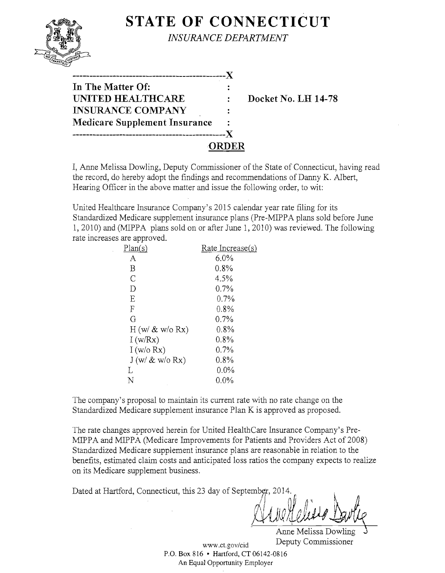|                                                                                                            | <b>STATE OF CONNECTICUT</b><br><b>INSURANCE DEPARTMENT</b> |
|------------------------------------------------------------------------------------------------------------|------------------------------------------------------------|
| In The Matter Of:<br>UNITED HEALTHCARE<br><b>INSURANCE COMPANY</b><br><b>Medicare Supplement Insurance</b> | Docket No. LH 14-78                                        |

I, Anne Melissa Dowling, Deputy Commissioner of the State of Connecticut, having read the record, do hereby adopt the findings and recommendations of Danny K. Albert, Hearing Officer in the above matter and issue the following order, to wit:

United Healthcare Insurance Company's 2015 calendar year rate filing for its Standardized Medicare supplement insurance plans (Pre-MIPPA plans sold before June 1, 2010) and (MIPPA plans sold on or after June 1, 2010) was reviewed. The following rate increases are approved.

| Rate Increase(s) |
|------------------|
| $6.0\%$          |
| $0.8\%$          |
| 4.5%             |
| 0.7%             |
| $0.7\%$          |
| $0.8\%$          |
| $0.7\%$          |
| $0.8\%$          |
| 0.8%             |
| 0.7%             |
| $0.8\%$          |
| $0.0\%$          |
| $0.0\%$          |
|                  |

The company's proposal to maintain its current rate with no rate change on the Standardized Medicare supplement insurance Plan K is approved as proposed.

The rate changes approved herein for United HealthCare Insurance Company's Pre-MIPPA and MIPPA (Medicare Improvements for Patients and Providers Act of 2008) Standardized Medicare supplement insurance plans are reasonable in relation to the benefits, estimated claim costs and anticipated loss ratios the company expects to realize on its Medicare supplement business.

Dated at Hartford, Connecticut, this 23 day of September, 2014.

 $AlueHelevo$ 

Anne Melissa Dowling www.ct.gov/cid Deputy Commissioner

P.O. Box 816 • Hartford, CT 06142-0816 An Equal Opportunity Employer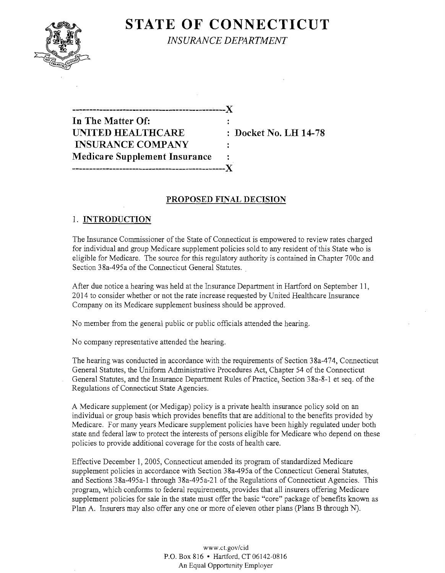# **STATE OF CONNECTICUT**



*INSURANCE DEPARTMENT* 

**In The Matter Of:**   $\mathbf{r}$ **UNITED HEALTHCARE** : Docket No. LH 14-78 **INSURANCE COMPANY Medicare Supplement Insurance ----------------------------------------------J(** 

**----------------------------------------------J(** 

## **PROPOSED FINAL DECISION**

## 1. **INTRODUCTION**

The Insurance Commissioner of the State of Connecticut is empowered to review rates charged for individual and group Medicare supplement policies sold to any resident of this State who is eligible for Medicare. The source for this regulatory authority is contained in Chapter 700c and Section 38a-495a of the Connecticut General Statutes.

After due notice a hearing was held at the Insurance Department in Hartford on September 11, 2014 to consider whether or not the rate increase requested by United Healthcare Insurance Company on its Medicare supplement business should be approved.

No member from the general public or public officials attended the hearing.

No company representative attended the hearing.

The hearing was conducted in accordance with the requirements of Section 38a-474, Connecticut General Statutes, the Uniform Administrative Procedures Act, Chapter 54 of the Connecticut General Statutes, and the Insurance Department Rules of Practice, Section 38a-8-1 et seq. of the Regulations of Connecticut State Agencies.

A Medicare supplement (or Medigap) policy is a private health insurance policy sold on an individual or group basis which provides benefits that are additional to the benefits provided by Medicare. For many years Medicare supplement policies have been highly regulated under both state and federal law to protect the interests of persons eligible for Medicare who depend on these policies to provide additional coverage for the costs of health care.

Effective December 1,2005, Connecticut amended its program of standardized Medicare supplement policies in accordance with Section 38a-495a of the Connecticut General Statutes, and Sections 38a-495a-l through 38a-495a-21 of the Regulations of Connecticut Agencies. This program, which conforms to federal requirements, provides that all insurers offering Medicare supplement policies for sale in the state must offer the basic "core" package of benefits known as Plan A. Insurers may also offer anyone or more of eleven other plans (Plans B through N).

> *www.ct.gov/cid*  P.O. Box 816 • Hartford, CT 06142-0816 An Equal Opportunity Employer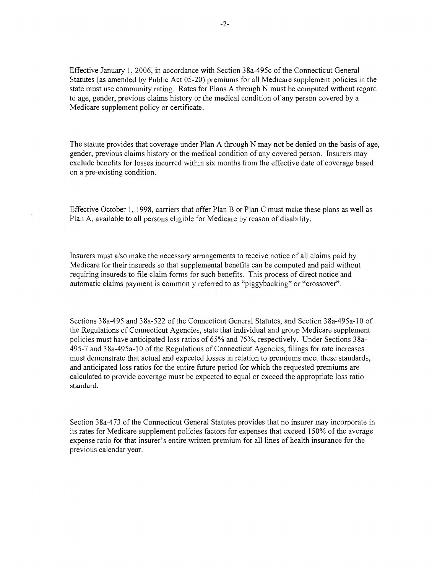Effective January 1,2006, in accordance with Section 38a-495c of the Connecticut General Statutes (as amended by Public Act 05-20) premiums for all Medicare supplement policies in the state must use community rating. Rates for Plans A through N must be computed without regard to age, gender, previous claims history or the medical condition of any person covered by a Medicare supplement policy or certificate.

The statute provides that coverage under Plan A through N may not be denied on the basis of age, gender, previous claims history or the medical condition of any covered person. Insurers may exclude benefits for losses incurred within six months from the effective date of coverage based on a pre-existing condition.

Effective October 1, 1998, carriers that offer Plan B or Plan C must make these plans as well as Plan A, available to all persons eligible for Medicare by reason of disability.

Insurers must also make the necessary arrangements to receive notice of all claims paid by Medicare for their insureds so that supplemental benefits can be computed and paid without requiring insureds to file claim forms for such benefits. This process of direct notice and automatic claims payment is commonly referred to as "piggybacking" or "crossover".

Sections 38a-495 and 38a-522 of the Connecticut General Statutes, and Section 38a-495a-10 of the Regulations of Connecticut Agencies, state that individual and group Medicare supplement policies must have anticipated loss ratios of 65% and 75%, respectively. Under Sections 38a-495-7 and 38a-495a-1 0 of the Regulations of Connecticut Agencies, filings for rate increases must demonstrate that actual and expected losses in relation to premiums meet these standards, and anticipated loss ratios for the entire future period for which the requested premiums are calculated to provide coverage must be expected to equal or exceed the appropriate loss ratio standard.

Section 38a-473 of the Connecticut General Statutes provides that no insurer may incorporate in its rates for Medicare supplement policies factors for expenses that exceed 150% of the average expense ratio for that insurer's entire written premium for all lines of health insurance for the previous calendar year.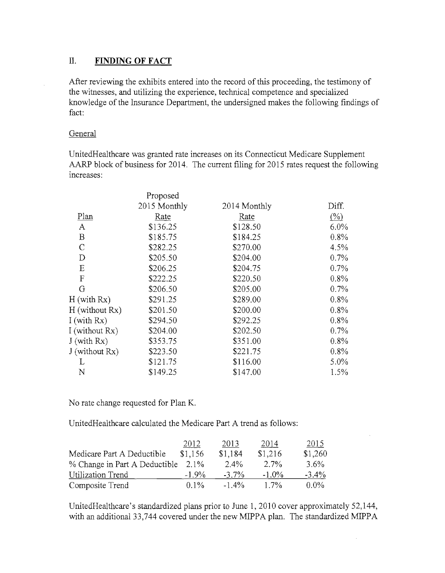## II. **FINDING OF FACT**

After reviewing the exhibits entered into the record of this proceeding, the testimony of the witnesses, and utilizing the experience, technical competence and specialized knowledge of the Insurance Department, the undersigned makes the following findings of fact:

## General

UnitedHealthcare was granted rate increases on its Connecticut Medicare Supplement AARP block of business for 2014. The current filing for 2015 rates request the following increases:

|                  | Proposed     |              |                          |
|------------------|--------------|--------------|--------------------------|
|                  | 2015 Monthly | 2014 Monthly | Diff.                    |
| Plan             | Rate         | Rate         | $\frac{\binom{0}{6}}{2}$ |
| A                | \$136.25     | \$128.50     | $6.0\%$                  |
| B                | \$185.75     | \$184.25     | 0.8%                     |
| $\mathcal{C}$    | \$282.25     | \$270.00     | 4.5%                     |
| D                | \$205.50     | \$204.00     | 0.7%                     |
| E                | \$206.25     | \$204.75     | 0.7%                     |
| $\mathbf F$      | \$222.25     | \$220.50     | 0.8%                     |
| G                | \$206.50     | \$205.00     | $0.7\%$                  |
| H (with Rx)      | \$291.25     | \$289.00     | 0.8%                     |
| H (without Rx)   | \$201.50     | \$200.00     | 0.8%                     |
| I (with $Rx$ )   | \$294.50     | \$292.25     | 0.8%                     |
| I (without Rx)   | \$204.00     | \$202.50     | $0.7\%$                  |
| $J$ (with $Rx$ ) | \$353.75     | \$351.00     | 0.8%                     |
| J (without Rx)   | \$223.50     | \$221.75     | 0.8%                     |
| L                | \$121.75     | \$116.00     | $5.0\%$                  |
| N                | \$149.25     | \$147.00     | $1.5\%$                  |
|                  |              |              |                          |

No rate change requested for Plan K.

UnitedHealthcare calculated the Medicare Part A trend as follows:

|                               | 2012     | 2013     | 2014     | 2015     |
|-------------------------------|----------|----------|----------|----------|
| Medicare Part A Deductible    | \$1,156  | \$1,184  | \$1,216  | \$1,260  |
| % Change in Part A Deductible | 2.1%     | 2.4%     | $2.7\%$  | $3.6\%$  |
| Utilization Trend             | $-1.9\%$ | $-3.7\%$ | $-1.0\%$ | $-3.4\%$ |
| Composite Trend               | $0.1\%$  | $-1.4\%$ | $1.7\%$  | $0.0\%$  |

Unitedllealthcare's standardized plans prior to June 1, 2010 cover approximately 52,144, with an additional 33,744 covered under the new MIPPA plan. The standardized MIPPA

 $\bar{z}$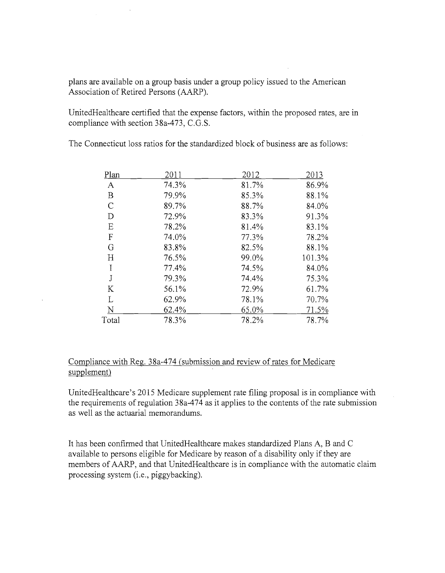plans are available on a group basis under a group policy issued to the American Association of Retired Persons (AARP).

UnitedHealthcare certified that the expense factors, within the proposed rates, are in compliance with section 38a-473, C.G.S.

The Connecticut loss ratios for the standardized block of business are as follows:

| Plan             | 2011  | 2012  | 2013   |
|------------------|-------|-------|--------|
| A                | 74.3% | 81.7% | 86.9%  |
| $\boldsymbol{B}$ | 79.9% | 85.3% | 88.1%  |
| $\mathsf{C}$     | 89.7% | 88.7% | 84.0%  |
| D                | 72.9% | 83.3% | 91.3%  |
| E                | 78.2% | 81.4% | 83.1%  |
| $\boldsymbol{F}$ | 74.0% | 77.3% | 78.2%  |
| G                | 83.8% | 82.5% | 88.1%  |
| H                | 76.5% | 99.0% | 101.3% |
| I                | 77.4% | 74.5% | 84.0%  |
| J                | 79.3% | 74.4% | 75.3%  |
| K                | 56.1% | 72.9% | 61.7%  |
| L                | 62.9% | 78.1% | 70.7%  |
| N                | 62.4% | 65.0% | 71.5%  |
| Total            | 78.3% | 78.2% | 78.7%  |

## Compliance with Reg. 38a-474 (submission and review of rates for Medicare supplement)

UnitedHealthcare's 2015 Medicare supplement rate filing proposal is in compliance with the requirements of regulation 38a-474 as it applies to the contents of the rate submission as well as the actuarial memorandums.

It has been confirmed that UnitedHealthcare makes standardized Plans A, B and C available to persons eligible for Medicare by reason of a disability only if they are members of AARP, and that UnitedHealthcare is in compliance with the automatic claim processing system (i.e., piggybacking).